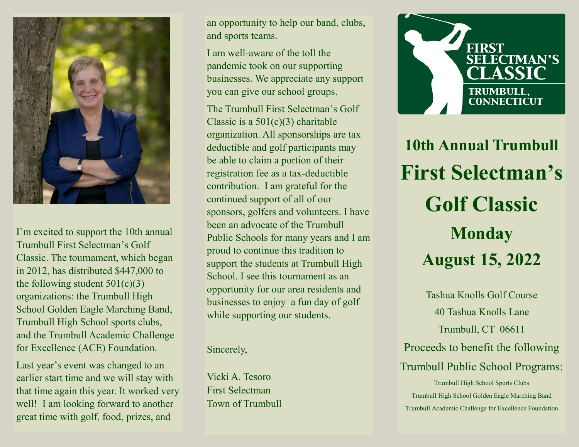

I'm excited to support the 10th annual Trumbull First Selectman's Golf Classic. The tournament, which began in 2012, has distributed \$447,000 to the following student  $501(c)(3)$ organizations: the Trumbull High School Golden Eagle Marching Band, Trumbull High School sports clubs, and the Trumbull Academic Challenge for Excellence (ACE) Foundation.

Last year's event was changed to an earlier start time and we will stay with that time again this year. It worked very well! I am looking forward to another great time with golf, food, prizes, and

an opportunity to help our band, clubs, and sports teams.

I am well-aware of the toll the pandemic took on our supporting businesses. We appreciate any support you can give our school groups.

The Trumbull First Selectman's Golf Classic is a  $501(c)(3)$  charitable organization. All sponsorships are tax deductible and golf participants may be able to claim a portion of their registration fee as a tax-deductible contribution. I am grateful for the continued support of all of our sponsors, golfers and volunteers. I have been an advocate of the Trumbull Public Schools for many years and I am proud to continue this tradition to support the students at Trumbull High School. I see this tournament as an opportunity for our area residents and businesses to enjoy a fun day of golf while supporting our students.

Sincerely,

Vicki A. Tesoro First Selectman Town of Trumbull



**10th Annual Trumbull First Selectman's Golf Classic Monday August 15, 2022**

Tashua Knolls Golf Course 40 Tashua Knolls Lane Trumbull, CT 06611 Proceeds to benefit the following Trumbull Public School Programs: Trumbull High School Sports Clubs Trumbull High School Golden Eagle Marching Band Trumbull Academic Challenge for Excellence Foundation